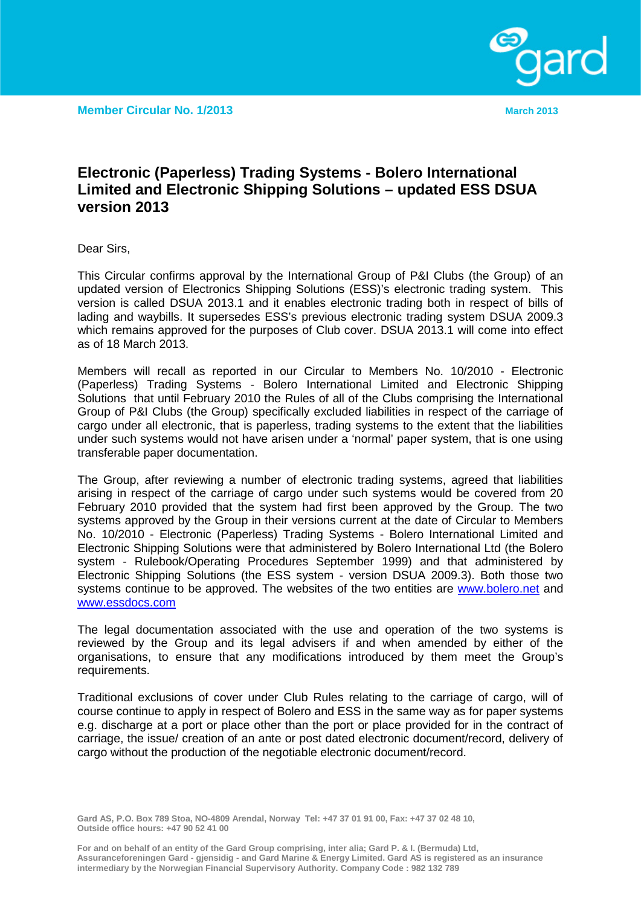## **Electronic (Paperless) Trading Systems - Bolero International Limited and Electronic Shipping Solutions – updated ESS DSUA version 2013**

Dear Sirs,

This Circular confirms approval by the International Group of P&I Clubs (the Group) of an updated version of Electronics Shipping Solutions (ESS)'s electronic trading system. This version is called DSUA 2013.1 and it enables electronic trading both in respect of bills of lading and waybills. It supersedes ESS's previous electronic trading system DSUA 2009.3 which remains approved for the purposes of Club cover. DSUA 2013.1 will come into effect as of 18 March 2013.

Members will recall as reported in our Circular to Members No. 10/2010 - Electronic (Paperless) Trading Systems - Bolero International Limited and Electronic Shipping Solutions that until February 2010 the Rules of all of the Clubs comprising the International Group of P&I Clubs (the Group) specifically excluded liabilities in respect of the carriage of cargo under all electronic, that is paperless, trading systems to the extent that the liabilities under such systems would not have arisen under a 'normal' paper system, that is one using transferable paper documentation.

The Group, after reviewing a number of electronic trading systems, agreed that liabilities arising in respect of the carriage of cargo under such systems would be covered from 20 February 2010 provided that the system had first been approved by the Group. The two systems approved by the Group in their versions current at the date of Circular to Members No. 10/2010 - Electronic (Paperless) Trading Systems - Bolero International Limited and Electronic Shipping Solutions were that administered by Bolero International Ltd (the Bolero system - Rulebook/Operating Procedures September 1999) and that administered by Electronic Shipping Solutions (the ESS system - version DSUA 2009.3). Both those two systems continue to be approved. The websites of the two entities are [www.bolero.net](http://www.bolero.net/) and [www.essdocs.com](http://www.essdocs.com/)

The legal documentation associated with the use and operation of the two systems is reviewed by the Group and its legal advisers if and when amended by either of the organisations, to ensure that any modifications introduced by them meet the Group's requirements.

Traditional exclusions of cover under Club Rules relating to the carriage of cargo, will of course continue to apply in respect of Bolero and ESS in the same way as for paper systems e.g. discharge at a port or place other than the port or place provided for in the contract of carriage, the issue/ creation of an ante or post dated electronic document/record, delivery of cargo without the production of the negotiable electronic document/record.

**Gard AS, P.O. Box 789 Stoa, NO-4809 Arendal, Norway Tel: +47 37 01 91 00, Fax: +47 37 02 48 10, Outside office hours: +47 90 52 41 00**